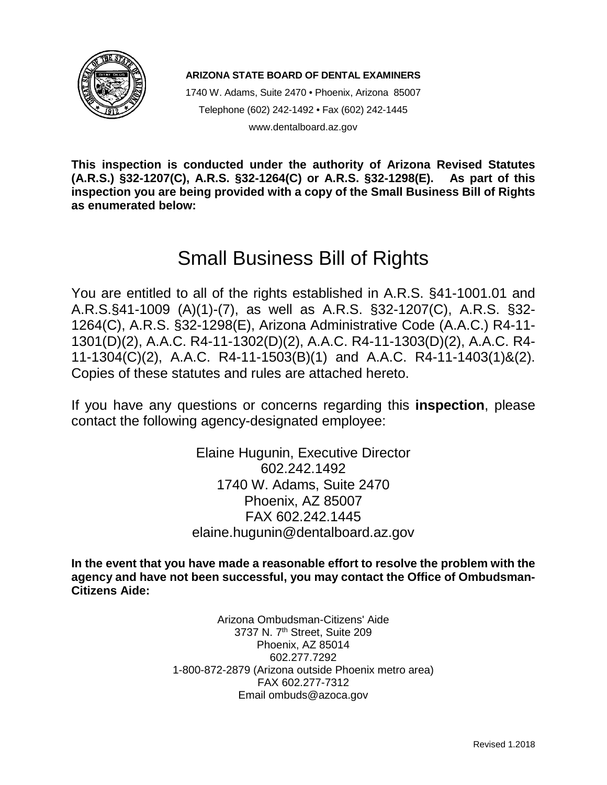

**ARIZONA STATE BOARD OF DENTAL EXAMINERS**

1740 W. Adams, Suite 2470 • Phoenix, Arizona 85007 Telephone (602) 242-1492 • Fax (602) 242-1445 www.dentalboard.az.gov

**This inspection is conducted under the authority of Arizona Revised Statutes (A.R.S.) §32-1207(C), A.R.S. §32-1264(C) or A.R.S. §32-1298(E). As part of this inspection you are being provided with a copy of the Small Business Bill of Rights as enumerated below:**

# Small Business Bill of Rights

You are entitled to all of the rights established in A.R.S. §41-1001.01 and A.R.S.§41-1009 (A)(1)-(7), as well as A.R.S. §32-1207(C), A.R.S. §32- 1264(C), A.R.S. §32-1298(E), Arizona Administrative Code (A.A.C.) R4-11- 1301(D)(2), A.A.C. R4-11-1302(D)(2), A.A.C. R4-11-1303(D)(2), A.A.C. R4- 11-1304(C)(2), A.A.C. R4-11-1503(B)(1) and A.A.C. R4-11-1403(1)&(2). Copies of these statutes and rules are attached hereto.

If you have any questions or concerns regarding this **inspection**, please contact the following agency-designated employee:

> Elaine Hugunin, Executive Director 602.242.1492 1740 W. Adams, Suite 2470 Phoenix, AZ 85007 FAX 602.242.1445 elaine.hugunin@dentalboard.az.gov

**In the event that you have made a reasonable effort to resolve the problem with the agency and have not been successful, you may contact the Office of Ombudsman-Citizens Aide:**

> Arizona Ombudsman-Citizens' Aide 3737 N. 7<sup>th</sup> Street, Suite 209 Phoenix, AZ 85014 602.277.7292 1-800-872-2879 (Arizona outside Phoenix metro area) FAX 602.277-7312 Email ombuds@azoca.gov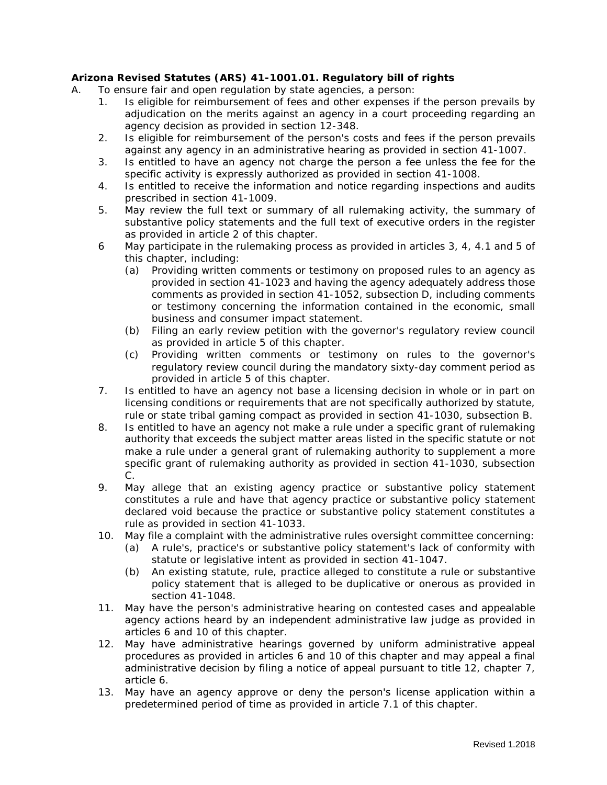#### **Arizona Revised Statutes (ARS) 41-1001.01. Regulatory bill of rights**

- A. To ensure fair and open regulation by state agencies, a person:
	- 1. Is eligible for reimbursement of fees and other expenses if the person prevails by adjudication on the merits against an agency in a court proceeding regarding an agency decision as provided in section 12-348.
	- 2. Is eligible for reimbursement of the person's costs and fees if the person prevails against any agency in an administrative hearing as provided in section 41-1007.
	- 3. Is entitled to have an agency not charge the person a fee unless the fee for the specific activity is expressly authorized as provided in section 41-1008.
	- 4. Is entitled to receive the information and notice regarding inspections and audits prescribed in section 41-1009.
	- 5. May review the full text or summary of all rulemaking activity, the summary of substantive policy statements and the full text of executive orders in the register as provided in article 2 of this chapter.
	- 6 May participate in the rulemaking process as provided in articles 3, 4, 4.1 and 5 of this chapter, including:
		- (a) Providing written comments or testimony on proposed rules to an agency as provided in section 41-1023 and having the agency adequately address those comments as provided in section 41-1052, subsection D, including comments or testimony concerning the information contained in the economic, small business and consumer impact statement.
		- (b) Filing an early review petition with the governor's regulatory review council as provided in article 5 of this chapter.
		- (c) Providing written comments or testimony on rules to the governor's regulatory review council during the mandatory sixty-day comment period as provided in article 5 of this chapter.
	- 7. Is entitled to have an agency not base a licensing decision in whole or in part on licensing conditions or requirements that are not specifically authorized by statute, rule or state tribal gaming compact as provided in section 41-1030, subsection B.
	- 8. Is entitled to have an agency not make a rule under a specific grant of rulemaking authority that exceeds the subject matter areas listed in the specific statute or not make a rule under a general grant of rulemaking authority to supplement a more specific grant of rulemaking authority as provided in section 41-1030, subsection C.
	- 9. May allege that an existing agency practice or substantive policy statement constitutes a rule and have that agency practice or substantive policy statement declared void because the practice or substantive policy statement constitutes a rule as provided in section 41-1033.
	- 10. May file a complaint with the administrative rules oversight committee concerning:
		- (a) A rule's, practice's or substantive policy statement's lack of conformity with statute or legislative intent as provided in section 41-1047.
		- (b) An existing statute, rule, practice alleged to constitute a rule or substantive policy statement that is alleged to be duplicative or onerous as provided in section 41-1048.
	- 11. May have the person's administrative hearing on contested cases and appealable agency actions heard by an independent administrative law judge as provided in articles 6 and 10 of this chapter.
	- 12. May have administrative hearings governed by uniform administrative appeal procedures as provided in articles 6 and 10 of this chapter and may appeal a final administrative decision by filing a notice of appeal pursuant to title 12, chapter 7, article 6.
	- 13. May have an agency approve or deny the person's license application within a predetermined period of time as provided in article 7.1 of this chapter.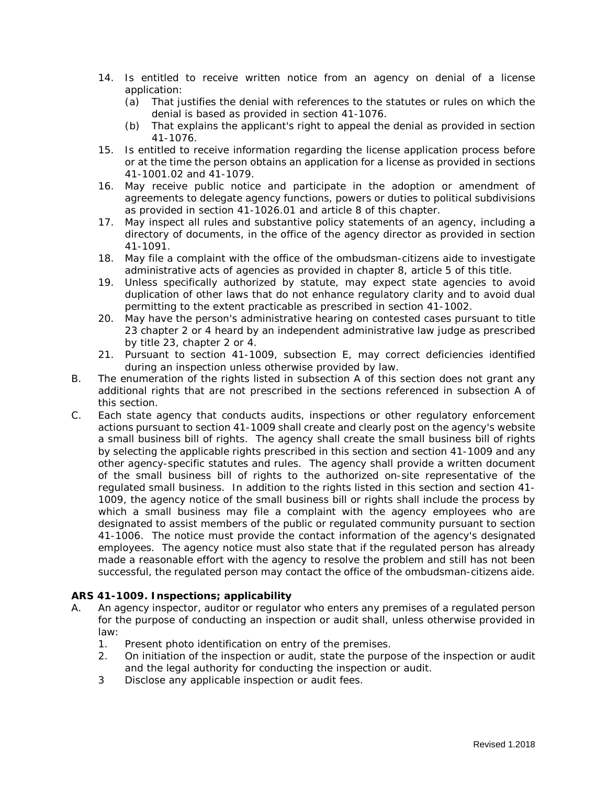- 14. Is entitled to receive written notice from an agency on denial of a license application:
	- (a) That justifies the denial with references to the statutes or rules on which the denial is based as provided in section 41-1076.
	- (b) That explains the applicant's right to appeal the denial as provided in section 41-1076.
- 15. Is entitled to receive information regarding the license application process before or at the time the person obtains an application for a license as provided in sections 41-1001.02 and 41-1079.
- 16. May receive public notice and participate in the adoption or amendment of agreements to delegate agency functions, powers or duties to political subdivisions as provided in section 41-1026.01 and article 8 of this chapter.
- 17. May inspect all rules and substantive policy statements of an agency, including a directory of documents, in the office of the agency director as provided in section 41-1091.
- 18. May file a complaint with the office of the ombudsman-citizens aide to investigate administrative acts of agencies as provided in chapter 8, article 5 of this title.
- 19. Unless specifically authorized by statute, may expect state agencies to avoid duplication of other laws that do not enhance regulatory clarity and to avoid dual permitting to the extent practicable as prescribed in section 41-1002.
- 20. May have the person's administrative hearing on contested cases pursuant to title 23 chapter 2 or 4 heard by an independent administrative law judge as prescribed by title 23, chapter 2 or 4.
- 21. Pursuant to section 41-1009, subsection E, may correct deficiencies identified during an inspection unless otherwise provided by law.
- B. The enumeration of the rights listed in subsection A of this section does not grant any additional rights that are not prescribed in the sections referenced in subsection A of this section.
- C. Each state agency that conducts audits, inspections or other regulatory enforcement actions pursuant to section 41-1009 shall create and clearly post on the agency's website a small business bill of rights. The agency shall create the small business bill of rights by selecting the applicable rights prescribed in this section and section 41-1009 and any other agency-specific statutes and rules. The agency shall provide a written document of the small business bill of rights to the authorized on-site representative of the regulated small business. In addition to the rights listed in this section and section 41- 1009, the agency notice of the small business bill or rights shall include the process by which a small business may file a complaint with the agency employees who are designated to assist members of the public or regulated community pursuant to section 41-1006. The notice must provide the contact information of the agency's designated employees. The agency notice must also state that if the regulated person has already made a reasonable effort with the agency to resolve the problem and still has not been successful, the regulated person may contact the office of the ombudsman-citizens aide.

#### **ARS 41-1009. Inspections; applicability**

- A. An agency inspector, auditor or regulator who enters any premises of a regulated person for the purpose of conducting an inspection or audit shall, unless otherwise provided in law:
	- 1. Present photo identification on entry of the premises.
	- 2. On initiation of the inspection or audit, state the purpose of the inspection or audit and the legal authority for conducting the inspection or audit.
	- 3 Disclose any applicable inspection or audit fees.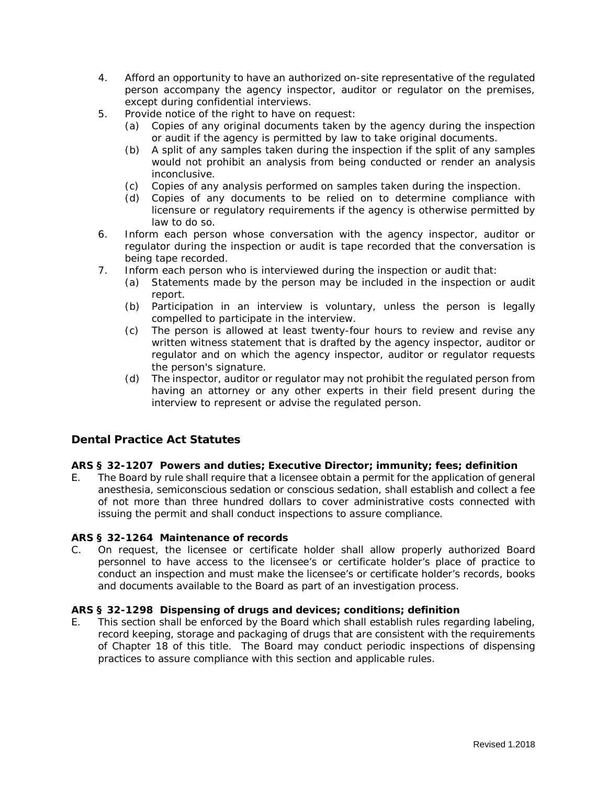- 4. Afford an opportunity to have an authorized on-site representative of the regulated person accompany the agency inspector, auditor or regulator on the premises, except during confidential interviews.
- 5. Provide notice of the right to have on request:
	- (a) Copies of any original documents taken by the agency during the inspection or audit if the agency is permitted by law to take original documents.
	- (b) A split of any samples taken during the inspection if the split of any samples would not prohibit an analysis from being conducted or render an analysis inconclusive.
	- (c) Copies of any analysis performed on samples taken during the inspection.
	- (d) Copies of any documents to be relied on to determine compliance with licensure or regulatory requirements if the agency is otherwise permitted by law to do so.
- 6. Inform each person whose conversation with the agency inspector, auditor or regulator during the inspection or audit is tape recorded that the conversation is being tape recorded.
- 7. Inform each person who is interviewed during the inspection or audit that:
	- (a) Statements made by the person may be included in the inspection or audit report.
	- (b) Participation in an interview is voluntary, unless the person is legally compelled to participate in the interview.
	- (c) The person is allowed at least twenty-four hours to review and revise any written witness statement that is drafted by the agency inspector, auditor or regulator and on which the agency inspector, auditor or regulator requests the person's signature.
	- (d) The inspector, auditor or regulator may not prohibit the regulated person from having an attorney or any other experts in their field present during the interview to represent or advise the regulated person.

# **Dental Practice Act Statutes**

#### **ARS § 32-1207 Powers and duties; Executive Director; immunity; fees; definition**

E. The Board by rule shall require that a licensee obtain a permit for the application of general anesthesia, semiconscious sedation or conscious sedation, shall establish and collect a fee of not more than three hundred dollars to cover administrative costs connected with issuing the permit and shall conduct inspections to assure compliance.

#### **ARS § 32-1264 Maintenance of records**

C. On request, the licensee or certificate holder shall allow properly authorized Board personnel to have access to the licensee's or certificate holder's place of practice to conduct an inspection and must make the licensee's or certificate holder's records, books and documents available to the Board as part of an investigation process.

#### **ARS § 32-1298 Dispensing of drugs and devices; conditions; definition**

E. This section shall be enforced by the Board which shall establish rules regarding labeling, record keeping, storage and packaging of drugs that are consistent with the requirements of Chapter 18 of this title. The Board may conduct periodic inspections of dispensing practices to assure compliance with this section and applicable rules.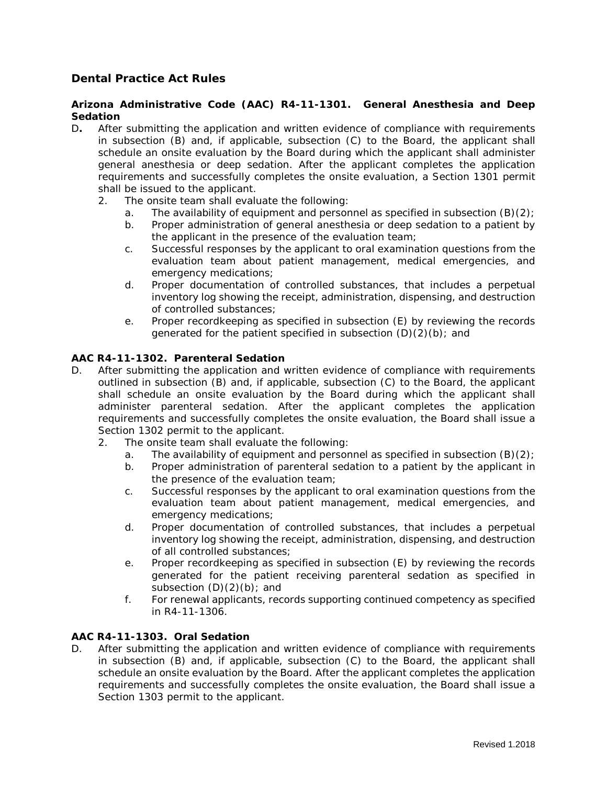# **Dental Practice Act Rules**

#### **Arizona Administrative Code (AAC) R4-11-1301. General Anesthesia and Deep Sedation**

- D**.** After submitting the application and written evidence of compliance with requirements in subsection (B) and, if applicable, subsection (C) to the Board, the applicant shall schedule an onsite evaluation by the Board during which the applicant shall administer general anesthesia or deep sedation. After the applicant completes the application requirements and successfully completes the onsite evaluation, a Section 1301 permit shall be issued to the applicant.
	- 2. The onsite team shall evaluate the following:
		- a. The availability of equipment and personnel as specified in subsection  $(B)(2)$ ;
		- b. Proper administration of general anesthesia or deep sedation to a patient by the applicant in the presence of the evaluation team;
		- c. Successful responses by the applicant to oral examination questions from the evaluation team about patient management, medical emergencies, and emergency medications;
		- d. Proper documentation of controlled substances, that includes a perpetual inventory log showing the receipt, administration, dispensing, and destruction of controlled substances;
		- e. Proper recordkeeping as specified in subsection (E) by reviewing the records generated for the patient specified in subsection (D)(2)(b); and

#### **AAC R4-11-1302. Parenteral Sedation**

- D. After submitting the application and written evidence of compliance with requirements outlined in subsection (B) and, if applicable, subsection (C) to the Board, the applicant shall schedule an onsite evaluation by the Board during which the applicant shall administer parenteral sedation. After the applicant completes the application requirements and successfully completes the onsite evaluation, the Board shall issue a Section 1302 permit to the applicant.
	- 2. The onsite team shall evaluate the following:
		- a. The availability of equipment and personnel as specified in subsection  $(B)(2)$ ;
		- b. Proper administration of parenteral sedation to a patient by the applicant in the presence of the evaluation team;
		- c. Successful responses by the applicant to oral examination questions from the evaluation team about patient management, medical emergencies, and emergency medications;
		- d. Proper documentation of controlled substances, that includes a perpetual inventory log showing the receipt, administration, dispensing, and destruction of all controlled substances;
		- e. Proper recordkeeping as specified in subsection (E) by reviewing the records generated for the patient receiving parenteral sedation as specified in subsection  $(D)(2)(b)$ ; and
		- f. For renewal applicants, records supporting continued competency as specified in R4-11-1306.

#### **AAC R4-11-1303. Oral Sedation**

D. After submitting the application and written evidence of compliance with requirements in subsection (B) and, if applicable, subsection (C) to the Board, the applicant shall schedule an onsite evaluation by the Board. After the applicant completes the application requirements and successfully completes the onsite evaluation, the Board shall issue a Section 1303 permit to the applicant.